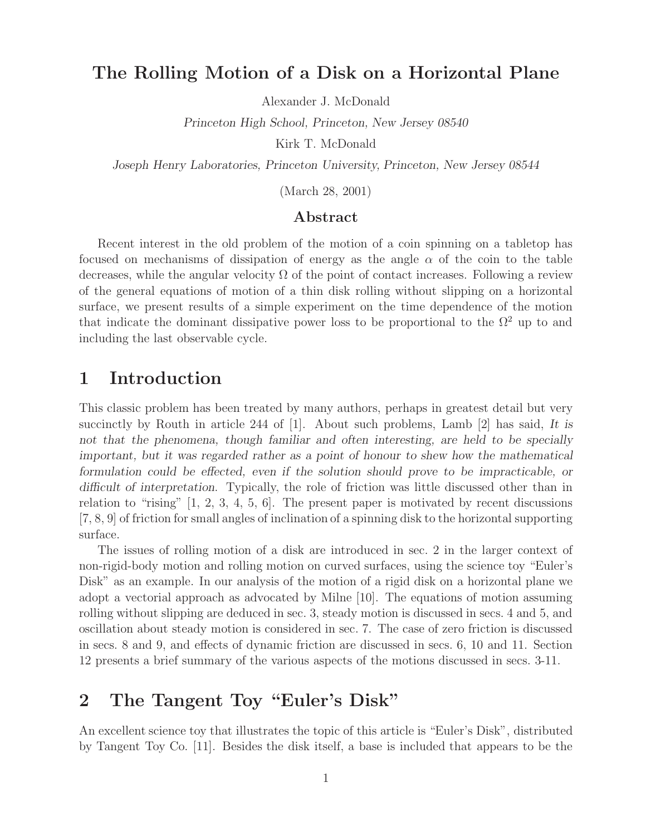## **The Rolling Motion of a Disk on a Horizontal Plane**

Alexander J. McDonald

*Princeton High School, Princeton, New Jersey 08540*

Kirk T. McDonald

*Joseph Henry Laboratories, Princeton University, Princeton, New Jersey 08544*

(March 28, 2001)

#### **Abstract**

Recent interest in the old problem of the motion of a coin spinning on a tabletop has focused on mechanisms of dissipation of energy as the angle  $\alpha$  of the coin to the table decreases, while the angular velocity  $\Omega$  of the point of contact increases. Following a review of the general equations of motion of a thin disk rolling without slipping on a horizontal surface, we present results of a simple experiment on the time dependence of the motion that indicate the dominant dissipative power loss to be proportional to the  $\Omega^2$  up to and including the last observable cycle.

### **1 Introduction**

This classic problem has been treated by many authors, perhaps in greatest detail but very succinctly by Routh in article 244 of [1]. About such problems, Lamb [2] has said, *It is not that the phenomena, though familiar and often interesting, are held to be specially important, but it was regarded rather as a point of honour to shew how the mathematical formulation could be effected, even if the solution should prove to be impracticable, or difficult of interpretation*. Typically, the role of friction was little discussed other than in relation to "rising" [1, 2, 3, 4, 5, 6]. The present paper is motivated by recent discussions [7, 8, 9] of friction for small angles of inclination of a spinning disk to the horizontal supporting surface.

The issues of rolling motion of a disk are introduced in sec. 2 in the larger context of non-rigid-body motion and rolling motion on curved surfaces, using the science toy "Euler's Disk" as an example. In our analysis of the motion of a rigid disk on a horizontal plane we adopt a vectorial approach as advocated by Milne [10]. The equations of motion assuming rolling without slipping are deduced in sec. 3, steady motion is discussed in secs. 4 and 5, and oscillation about steady motion is considered in sec. 7. The case of zero friction is discussed in secs. 8 and 9, and effects of dynamic friction are discussed in secs. 6, 10 and 11. Section 12 presents a brief summary of the various aspects of the motions discussed in secs. 3-11.

## **2 The Tangent Toy "Euler's Disk"**

An excellent science toy that illustrates the topic of this article is "Euler's Disk", distributed by Tangent Toy Co. [11]. Besides the disk itself, a base is included that appears to be the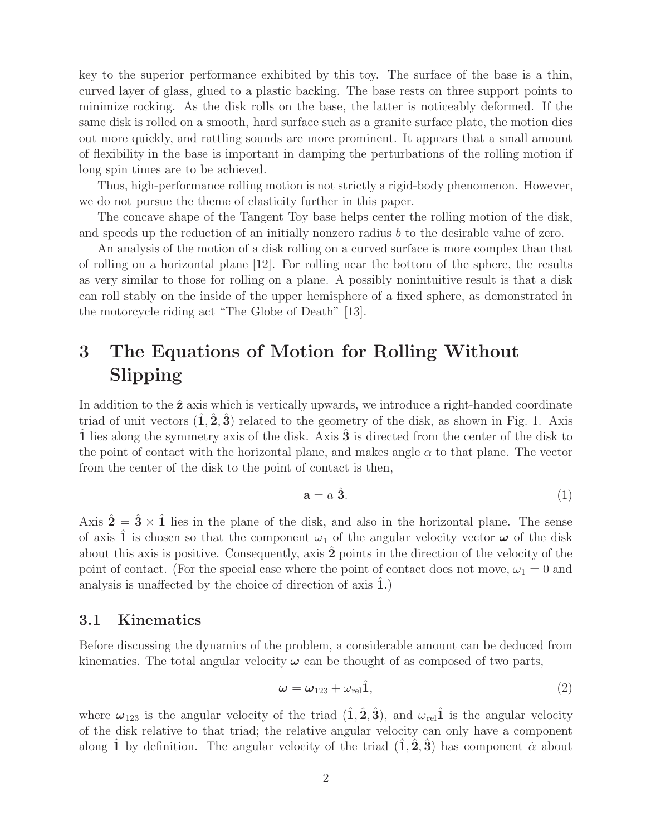key to the superior performance exhibited by this toy. The surface of the base is a thin, curved layer of glass, glued to a plastic backing. The base rests on three support points to minimize rocking. As the disk rolls on the base, the latter is noticeably deformed. If the same disk is rolled on a smooth, hard surface such as a granite surface plate, the motion dies out more quickly, and rattling sounds are more prominent. It appears that a small amount of flexibility in the base is important in damping the perturbations of the rolling motion if long spin times are to be achieved.

Thus, high-performance rolling motion is not strictly a rigid-body phenomenon. However, we do not pursue the theme of elasticity further in this paper.

The concave shape of the Tangent Toy base helps center the rolling motion of the disk, and speeds up the reduction of an initially nonzero radius b to the desirable value of zero.

An analysis of the motion of a disk rolling on a curved surface is more complex than that of rolling on a horizontal plane [12]. For rolling near the bottom of the sphere, the results as very similar to those for rolling on a plane. A possibly nonintuitive result is that a disk can roll stably on the inside of the upper hemisphere of a fixed sphere, as demonstrated in the motorcycle riding act "The Globe of Death" [13].

# **3 The Equations of Motion for Rolling Without Slipping**

In addition to the **z**ˆ axis which is vertically upwards, we introduce a right-handed coordinate triad of unit vectors  $(1, 2, 3)$  related to the geometry of the disk, as shown in Fig. 1. Axis **1** lies along the symmetry axis of the disk. Axis **3** is directed from the center of the disk to the point of contact with the horizontal plane, and makes angle  $\alpha$  to that plane. The vector from the center of the disk to the point of contact is then,

$$
\mathbf{a} = a \; \hat{\mathbf{3}}.\tag{1}
$$

Axis  $\hat{\mathbf{2}} = \hat{\mathbf{3}} \times \hat{\mathbf{1}}$  lies in the plane of the disk, and also in the horizontal plane. The sense of axis 1 is chosen so that the component  $\omega_1$  of the angular velocity vector  $\omega$  of the disk about this axis is positive. Consequently, axis **2**ˆ points in the direction of the velocity of the point of contact. (For the special case where the point of contact does not move,  $\omega_1 = 0$  and analysis is unaffected by the choice of direction of axis 1.)

#### **3.1 Kinematics**

Before discussing the dynamics of the problem, a considerable amount can be deduced from kinematics. The total angular velocity  $\omega$  can be thought of as composed of two parts,

$$
\omega = \omega_{123} + \omega_{\rm rel} \hat{1},\tag{2}
$$

where  $\omega_{123}$  is the angular velocity of the triad  $(\hat{\mathbf{1}}, \hat{\mathbf{2}}, \hat{\mathbf{3}})$ , and  $\omega_{\text{rel}}\hat{\mathbf{1}}$  is the angular velocity of the disk relative to that triad; the relative angular velocity can only have a component along **1** by definition. The angular velocity of the triad  $(1, 2, 3)$  has component  $\alpha$  about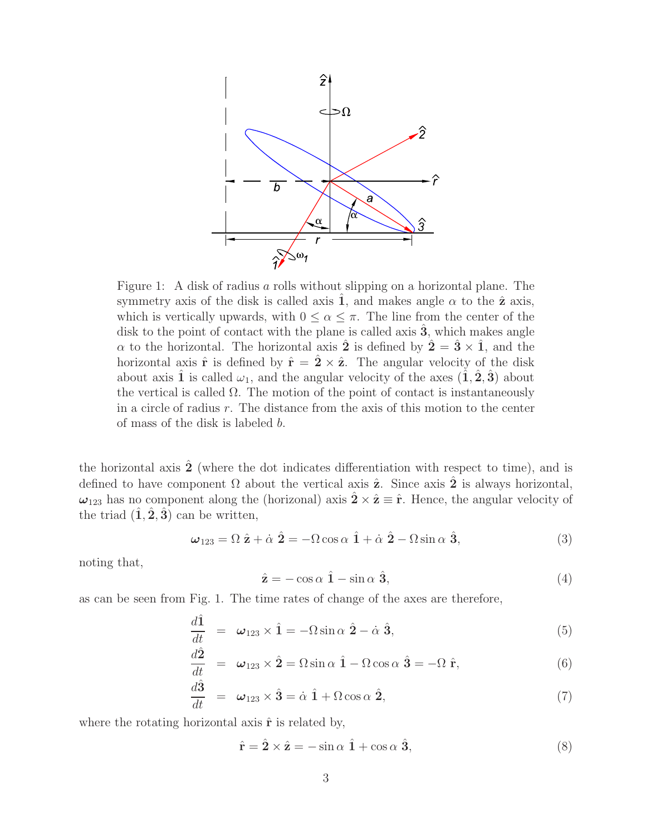

Figure 1: A disk of radius a rolls without slipping on a horizontal plane. The symmetry axis of the disk is called axis 1, and makes angle  $\alpha$  to the  $\hat{z}$  axis, which is vertically upwards, with  $0 \leq \alpha \leq \pi$ . The line from the center of the disk to the point of contact with the plane is called axis  $\hat{3}$ , which makes angle  $\alpha$  to the horizontal. The horizontal axis  $\hat{\mathbf{2}}$  is defined by  $\hat{\mathbf{2}} = \hat{\mathbf{3}} \times \hat{\mathbf{1}}$ , and the horizontal axis  $\hat{\mathbf{r}}$  is defined by  $\hat{\mathbf{r}} = 2 \times \hat{\mathbf{z}}$ . The angular velocity of the disk about axis  $\hat{\mathbf{1}}$  is called  $\omega_1$ , and the angular velocity of the axes  $(\hat{\mathbf{1}}, \hat{\mathbf{2}}, \hat{\mathbf{3}})$  about the vertical is called  $\Omega$ . The motion of the point of contact is instantaneously in a circle of radius r. The distance from the axis of this motion to the center of mass of the disk is labeled b.

the horizontal axis  $\hat{2}$  (where the dot indicates differentiation with respect to time), and is defined to have component  $\Omega$  about the vertical axis  $\hat{z}$ . Since axis  $\hat{z}$  is always horizontal,  $\omega_{123}$  has no component along the (horizonal) axis  $\hat{\mathbf{2}} \times \hat{\mathbf{z}} \equiv \hat{\mathbf{r}}$ . Hence, the angular velocity of the triad  $(\hat{\mathbf{1}}, \hat{\mathbf{2}}, \hat{\mathbf{3}})$  can be written,

$$
\omega_{123} = \Omega \hat{\mathbf{z}} + \dot{\alpha} \hat{\mathbf{2}} = -\Omega \cos \alpha \hat{\mathbf{1}} + \dot{\alpha} \hat{\mathbf{2}} - \Omega \sin \alpha \hat{\mathbf{3}}, \tag{3}
$$

noting that,

$$
\hat{\mathbf{z}} = -\cos\alpha \hat{\mathbf{1}} - \sin\alpha \hat{\mathbf{3}},\tag{4}
$$

as can be seen from Fig. 1. The time rates of change of the axes are therefore,

$$
\frac{d\hat{\mathbf{1}}}{dt} = \boldsymbol{\omega}_{123} \times \hat{\mathbf{1}} = -\Omega \sin \alpha \hat{\mathbf{2}} - \dot{\alpha} \hat{\mathbf{3}},
$$
\n(5)

$$
\frac{d\hat{\mathbf{2}}}{dt} = \boldsymbol{\omega}_{123} \times \hat{\mathbf{2}} = \Omega \sin \alpha \hat{\mathbf{1}} - \Omega \cos \alpha \hat{\mathbf{3}} = -\Omega \hat{\mathbf{r}},
$$
(6)

$$
\frac{d\hat{\mathbf{3}}}{dt} = \boldsymbol{\omega}_{123} \times \hat{\mathbf{3}} = \dot{\alpha} \hat{\mathbf{1}} + \Omega \cos \alpha \hat{\mathbf{2}},\tag{7}
$$

where the rotating horizontal axis  $\hat{\mathbf{r}}$  is related by,

$$
\hat{\mathbf{r}} = \hat{\mathbf{2}} \times \hat{\mathbf{z}} = -\sin \alpha \hat{\mathbf{1}} + \cos \alpha \hat{\mathbf{3}},\tag{8}
$$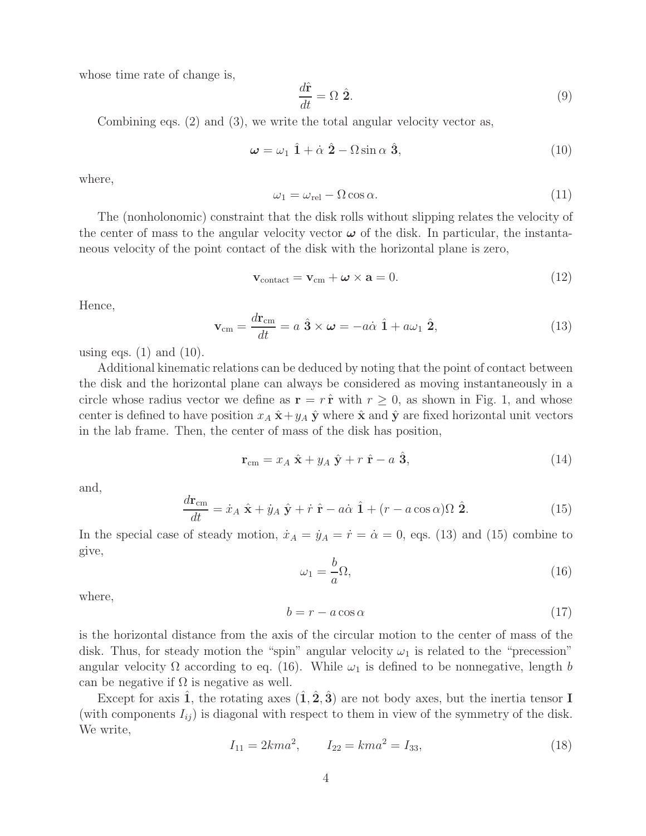whose time rate of change is,

$$
\frac{d\hat{\mathbf{r}}}{dt} = \Omega \ \hat{\mathbf{2}}.\tag{9}
$$

Combining eqs. (2) and (3), we write the total angular velocity vector as,

$$
\omega = \omega_1 \hat{1} + \dot{\alpha} \hat{2} - \Omega \sin \alpha \hat{3}, \qquad (10)
$$

where,

$$
\omega_1 = \omega_{\rm rel} - \Omega \cos \alpha. \tag{11}
$$

The (nonholonomic) constraint that the disk rolls without slipping relates the velocity of the center of mass to the angular velocity vector  $\omega$  of the disk. In particular, the instantaneous velocity of the point contact of the disk with the horizontal plane is zero,

$$
\mathbf{v}_{\text{contact}} = \mathbf{v}_{\text{cm}} + \boldsymbol{\omega} \times \mathbf{a} = 0. \tag{12}
$$

Hence,

$$
\mathbf{v}_{\rm cm} = \frac{d\mathbf{r}_{\rm cm}}{dt} = a\ \hat{\mathbf{3}} \times \boldsymbol{\omega} = -a\dot{\alpha}\ \hat{\mathbf{1}} + a\omega_1\ \hat{\mathbf{2}},\tag{13}
$$

using eqs.  $(1)$  and  $(10)$ .

Additional kinematic relations can be deduced by noting that the point of contact between the disk and the horizontal plane can always be considered as moving instantaneously in a circle whose radius vector we define as  $\mathbf{r} = r \hat{\mathbf{r}}$  with  $r \geq 0$ , as shown in Fig. 1, and whose center is defined to have position  $x_A \hat{\mathbf{x}} + y_A \hat{\mathbf{y}}$  where  $\hat{\mathbf{x}}$  and  $\hat{\mathbf{y}}$  are fixed horizontal unit vectors in the lab frame. Then, the center of mass of the disk has position,

$$
\mathbf{r}_{\rm cm} = x_A \hat{\mathbf{x}} + y_A \hat{\mathbf{y}} + r \hat{\mathbf{r}} - a \hat{\mathbf{3}},\tag{14}
$$

and,

$$
\frac{d\mathbf{r}_{\rm cm}}{dt} = \dot{x}_A \hat{\mathbf{x}} + \dot{y}_A \hat{\mathbf{y}} + \dot{r} \hat{\mathbf{r}} - a\dot{\alpha} \hat{\mathbf{1}} + (r - a\cos\alpha)\Omega \hat{\mathbf{2}}.
$$
 (15)

In the special case of steady motion,  $\dot{x}_A = \dot{y}_A = \dot{r} = \dot{\alpha} = 0$ , eqs. (13) and (15) combine to give,

 $\omega_1 = \frac{b}{\sqrt{a}}$ a  $\Omega$ , (16)

where,

$$
b = r - a\cos\alpha\tag{17}
$$

is the horizontal distance from the axis of the circular motion to the center of mass of the disk. Thus, for steady motion the "spin" angular velocity  $\omega_1$  is related to the "precession" angular velocity  $\Omega$  according to eq. (16). While  $\omega_1$  is defined to be nonnegative, length b can be negative if  $\Omega$  is negative as well.

Except for axis  $\hat{\mathbf{1}}$ , the rotating axes  $(\hat{\mathbf{1}}, \hat{\mathbf{2}}, \hat{\mathbf{3}})$  are not body axes, but the inertia tensor **I** (with components  $I_{ij}$ ) is diagonal with respect to them in view of the symmetry of the disk. We write,

$$
I_{11} = 2kma^2, \qquad I_{22} = kma^2 = I_{33}, \tag{18}
$$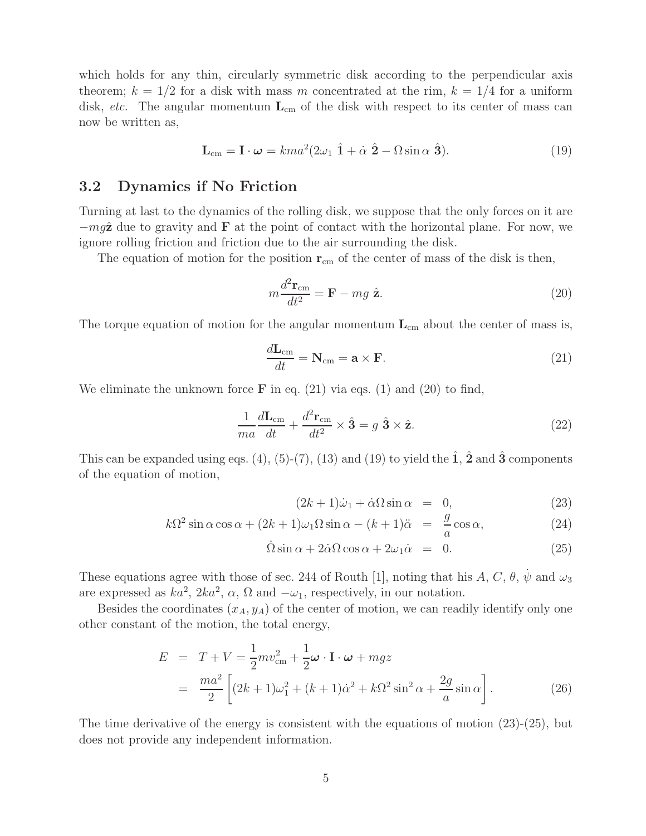which holds for any thin, circularly symmetric disk according to the perpendicular axis theorem;  $k = 1/2$  for a disk with mass m concentrated at the rim,  $k = 1/4$  for a uniform disk, *etc.* The angular momentum  $L_{cm}$  of the disk with respect to its center of mass can now be written as,

$$
\mathbf{L}_{\rm cm} = \mathbf{I} \cdot \boldsymbol{\omega} = k m a^2 (2\omega_1 \hat{\mathbf{1}} + \dot{\alpha} \hat{\mathbf{2}} - \Omega \sin \alpha \hat{\mathbf{3}}). \tag{19}
$$

#### **3.2 Dynamics if No Friction**

Turning at last to the dynamics of the rolling disk, we suppose that the only forces on it are −mgˆ**z** due to gravity and **F** at the point of contact with the horizontal plane. For now, we ignore rolling friction and friction due to the air surrounding the disk.

The equation of motion for the position  $\mathbf{r}_{cm}$  of the center of mass of the disk is then,

$$
m\frac{d^2\mathbf{r}_{\rm cm}}{dt^2} = \mathbf{F} - mg\ \hat{\mathbf{z}}.\tag{20}
$$

The torque equation of motion for the angular momentum  $L_{cm}$  about the center of mass is,

$$
\frac{d\mathbf{L}_{\rm cm}}{dt} = \mathbf{N}_{\rm cm} = \mathbf{a} \times \mathbf{F}.\tag{21}
$$

We eliminate the unknown force  $\bf{F}$  in eq. (21) via eqs. (1) and (20) to find,

$$
\frac{1}{ma}\frac{d\mathbf{L}_{cm}}{dt} + \frac{d^2\mathbf{r}_{cm}}{dt^2} \times \hat{\mathbf{3}} = g \hat{\mathbf{3}} \times \hat{\mathbf{z}}.
$$
 (22)

This can be expanded using eqs. (4), (5)-(7), (13) and (19) to yield the  $\hat{\mathbf{1}}, \hat{\mathbf{2}}$  and  $\hat{\mathbf{3}}$  components of the equation of motion,

$$
(2k+1)\dot{\omega}_1 + \dot{\alpha}\Omega\sin\alpha = 0, \qquad (23)
$$

$$
k\Omega^2 \sin \alpha \cos \alpha + (2k+1)\omega_1 \Omega \sin \alpha - (k+1)\ddot{\alpha} = \frac{g}{a} \cos \alpha, \qquad (24)
$$

$$
\dot{\Omega}\sin\alpha + 2\dot{\alpha}\Omega\cos\alpha + 2\omega_1\dot{\alpha} = 0. \tag{25}
$$

These equations agree with those of sec. 244 of Routh [1], noting that his A, C,  $\theta$ ,  $\dot{\psi}$  and  $\omega_3$ are expressed as  $ka^2$ ,  $2ka^2$ ,  $\alpha$ ,  $\Omega$  and  $-\omega_1$ , respectively, in our notation.

Besides the coordinates  $(x_A, y_A)$  of the center of motion, we can readily identify only one other constant of the motion, the total energy,

$$
E = T + V = \frac{1}{2}mv_{\rm cm}^2 + \frac{1}{2}\omega \cdot \mathbf{I} \cdot \omega + mgz
$$
  
= 
$$
\frac{ma^2}{2} \left[ (2k+1)\omega_1^2 + (k+1)\dot{\alpha}^2 + k\Omega^2 \sin^2 \alpha + \frac{2g}{a}\sin \alpha \right].
$$
 (26)

The time derivative of the energy is consistent with the equations of motion (23)-(25), but does not provide any independent information.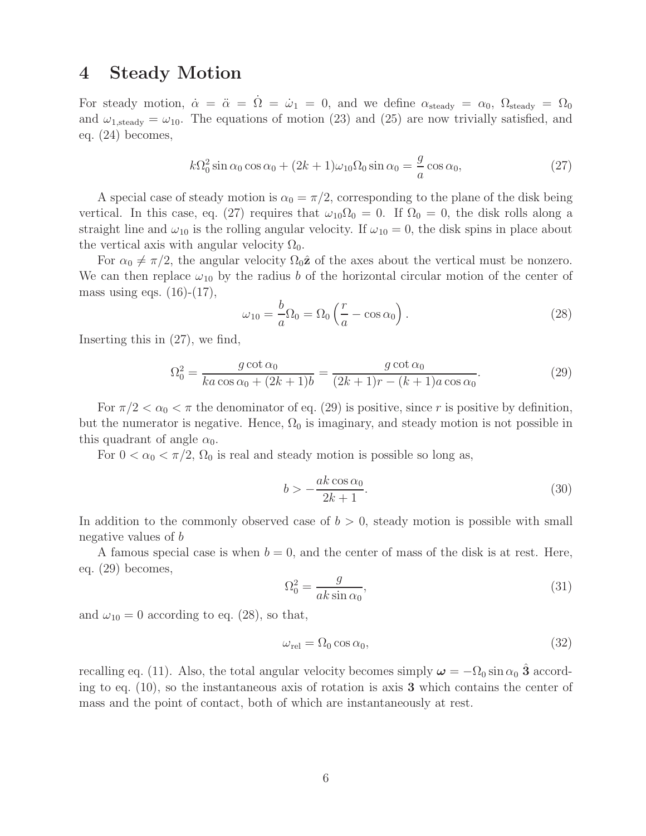### **4 Steady Motion**

For steady motion,  $\dot{\alpha} = \ddot{\alpha} = \Omega = \dot{\omega}_1 = 0$ , and we define  $\alpha_{\text{steady}} = \alpha_0$ ,  $\Omega_{\text{steady}} = \Omega_0$ and  $\omega_{1,\text{steady}} = \omega_{10}$ . The equations of motion (23) and (25) are now trivially satisfied, and eq. (24) becomes,

$$
k\Omega_0^2 \sin \alpha_0 \cos \alpha_0 + (2k+1)\omega_{10}\Omega_0 \sin \alpha_0 = \frac{g}{a} \cos \alpha_0, \tag{27}
$$

A special case of steady motion is  $\alpha_0 = \pi/2$ , corresponding to the plane of the disk being vertical. In this case, eq. (27) requires that  $\omega_{10}\Omega_0 = 0$ . If  $\Omega_0 = 0$ , the disk rolls along a straight line and  $\omega_{10}$  is the rolling angular velocity. If  $\omega_{10} = 0$ , the disk spins in place about the vertical axis with angular velocity  $\Omega_0$ .

For  $\alpha_0 \neq \pi/2$ , the angular velocity  $\Omega_0 \hat{z}$  of the axes about the vertical must be nonzero. We can then replace  $\omega_{10}$  by the radius b of the horizontal circular motion of the center of mass using eqs.  $(16)-(17)$ ,

$$
\omega_{10} = \frac{b}{a} \Omega_0 = \Omega_0 \left( \frac{r}{a} - \cos \alpha_0 \right). \tag{28}
$$

Inserting this in (27), we find,

$$
\Omega_0^2 = \frac{g \cot \alpha_0}{k a \cos \alpha_0 + (2k+1)b} = \frac{g \cot \alpha_0}{(2k+1)r - (k+1)a \cos \alpha_0}.
$$
\n(29)

For  $\pi/2 < \alpha_0 < \pi$  the denominator of eq. (29) is positive, since r is positive by definition, but the numerator is negative. Hence,  $\Omega_0$  is imaginary, and steady motion is not possible in this quadrant of angle  $\alpha_0$ .

For  $0 < \alpha_0 < \pi/2$ ,  $\Omega_0$  is real and steady motion is possible so long as,

$$
b > -\frac{ak\cos\alpha_0}{2k+1}.\tag{30}
$$

In addition to the commonly observed case of  $b > 0$ , steady motion is possible with small negative values of b

A famous special case is when  $b = 0$ , and the center of mass of the disk is at rest. Here, eq. (29) becomes,

$$
\Omega_0^2 = \frac{g}{ak \sin \alpha_0},\tag{31}
$$

and  $\omega_{10} = 0$  according to eq. (28), so that,

$$
\omega_{\rm rel} = \Omega_0 \cos \alpha_0,\tag{32}
$$

recalling eq. (11). Also, the total angular velocity becomes simply  $\omega = -\Omega_0 \sin \alpha_0$  **3** according to eq. (10), so the instantaneous axis of rotation is axis **3** which contains the center of mass and the point of contact, both of which are instantaneously at rest.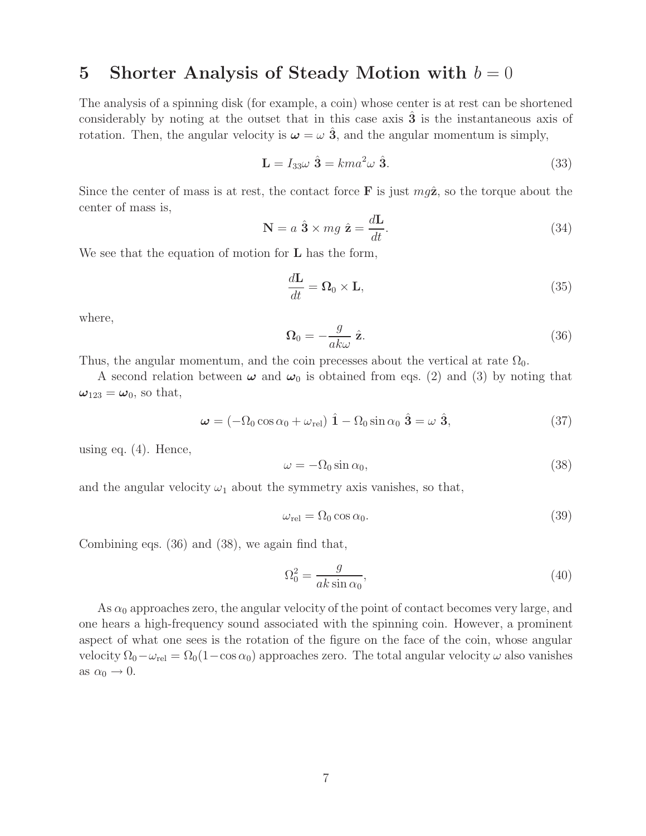# **5** Shorter Analysis of Steady Motion with  $b = 0$

The analysis of a spinning disk (for example, a coin) whose center is at rest can be shortened considerably by noting at the outset that in this case axis **3** is the instantaneous axis of rotation. Then, the angular velocity is  $\omega = \omega \hat{3}$ , and the angular momentum is simply,

$$
\mathbf{L} = I_{33}\omega \hat{\mathbf{3}} = kma^2\omega \hat{\mathbf{3}}.
$$
 (33)

Since the center of mass is at rest, the contact force **F** is just  $mg\hat{z}$ , so the torque about the center of mass is,

$$
\mathbf{N} = a \hat{\mathbf{3}} \times mg \hat{\mathbf{z}} = \frac{d\mathbf{L}}{dt}.
$$
 (34)

We see that the equation of motion for **L** has the form,

$$
\frac{d\mathbf{L}}{dt} = \mathbf{\Omega}_0 \times \mathbf{L},\tag{35}
$$

where,

$$
\Omega_0 = -\frac{g}{ak\omega} \hat{\mathbf{z}}.\tag{36}
$$

Thus, the angular momentum, and the coin precesses about the vertical at rate  $\Omega_0$ .

A second relation between  $\omega$  and  $\omega_0$  is obtained from eqs. (2) and (3) by noting that  $\omega_{123} = \omega_0$ , so that,

$$
\boldsymbol{\omega} = (-\Omega_0 \cos \alpha_0 + \omega_{\text{rel}}) \hat{\mathbf{1}} - \Omega_0 \sin \alpha_0 \hat{\mathbf{3}} = \omega \hat{\mathbf{3}}, \tag{37}
$$

using eq. (4). Hence,

$$
\omega = -\Omega_0 \sin \alpha_0,\tag{38}
$$

and the angular velocity  $\omega_1$  about the symmetry axis vanishes, so that,

$$
\omega_{\rm rel} = \Omega_0 \cos \alpha_0. \tag{39}
$$

Combining eqs. (36) and (38), we again find that,

$$
\Omega_0^2 = \frac{g}{ak \sin \alpha_0},\tag{40}
$$

As  $\alpha_0$  approaches zero, the angular velocity of the point of contact becomes very large, and one hears a high-frequency sound associated with the spinning coin. However, a prominent aspect of what one sees is the rotation of the figure on the face of the coin, whose angular velocity  $\Omega_0 - \omega_{rel} = \Omega_0 (1 - \cos \alpha_0)$  approaches zero. The total angular velocity  $\omega$  also vanishes as  $\alpha_0 \rightarrow 0$ .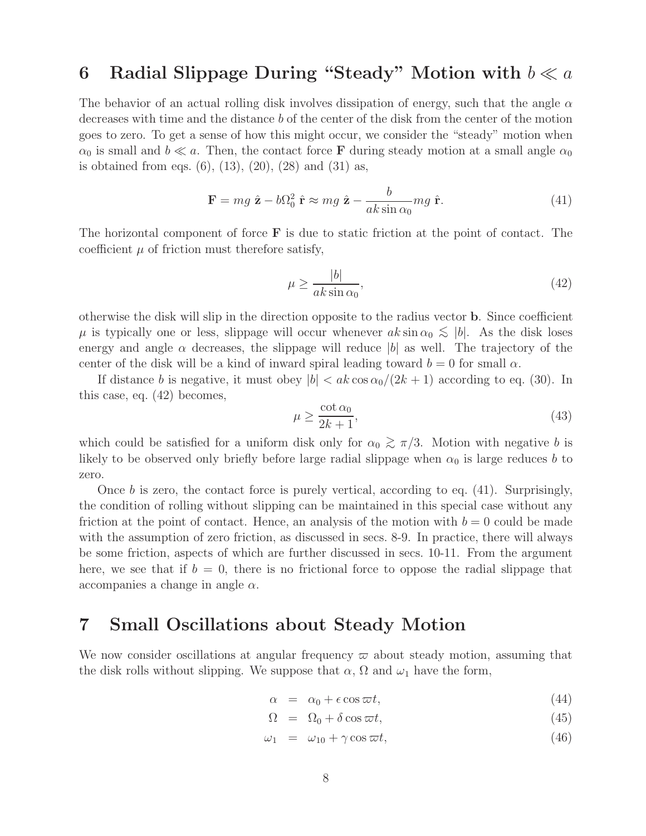## **6** Radial Slippage During "Steady" Motion with  $b \ll a$

The behavior of an actual rolling disk involves dissipation of energy, such that the angle  $\alpha$ decreases with time and the distance b of the center of the disk from the center of the motion goes to zero. To get a sense of how this might occur, we consider the "steady" motion when  $\alpha_0$  is small and  $b \ll a$ . Then, the contact force **F** during steady motion at a small angle  $\alpha_0$ is obtained from eqs.  $(6)$ ,  $(13)$ ,  $(20)$ ,  $(28)$  and  $(31)$  as,

$$
\mathbf{F} = mg\ \hat{\mathbf{z}} - b\Omega_0^2\ \hat{\mathbf{r}} \approx mg\ \hat{\mathbf{z}} - \frac{b}{ak\sin\alpha_0}mg\ \hat{\mathbf{r}}.\tag{41}
$$

The horizontal component of force **F** is due to static friction at the point of contact. The coefficient  $\mu$  of friction must therefore satisfy,

$$
\mu \ge \frac{|b|}{ak \sin \alpha_0},\tag{42}
$$

otherwise the disk will slip in the direction opposite to the radius vector **b**. Since coefficient  $\mu$  is typically one or less, slippage will occur whenever  $ak \sin \alpha_0 \lesssim |b|$ . As the disk loses energy and angle  $\alpha$  decreases, the slippage will reduce |b| as well. The trajectory of the center of the disk will be a kind of inward spiral leading toward  $b = 0$  for small  $\alpha$ .

If distance b is negative, it must obey  $|b| < ak \cos \alpha_0/(2k+1)$  according to eq. (30). In this case, eq. (42) becomes,

$$
\mu \ge \frac{\cot \alpha_0}{2k+1},\tag{43}
$$

which could be satisfied for a uniform disk only for  $\alpha_0 \gtrsim \pi/3$ . Motion with negative b is likely to be observed only briefly before large radial slippage when  $\alpha_0$  is large reduces b to zero.

Once  $b$  is zero, the contact force is purely vertical, according to eq. (41). Surprisingly, the condition of rolling without slipping can be maintained in this special case without any friction at the point of contact. Hence, an analysis of the motion with  $b = 0$  could be made with the assumption of zero friction, as discussed in secs. 8-9. In practice, there will always be some friction, aspects of which are further discussed in secs. 10-11. From the argument here, we see that if  $b = 0$ , there is no frictional force to oppose the radial slippage that accompanies a change in angle  $\alpha$ .

#### **7 Small Oscillations about Steady Motion**

We now consider oscillations at angular frequency  $\varpi$  about steady motion, assuming that the disk rolls without slipping. We suppose that  $\alpha$ ,  $\Omega$  and  $\omega_1$  have the form,

$$
\alpha = \alpha_0 + \epsilon \cos \varpi t, \tag{44}
$$

$$
\Omega = \Omega_0 + \delta \cos \omega t, \tag{45}
$$

$$
\omega_1 = \omega_{10} + \gamma \cos \varpi t, \qquad (46)
$$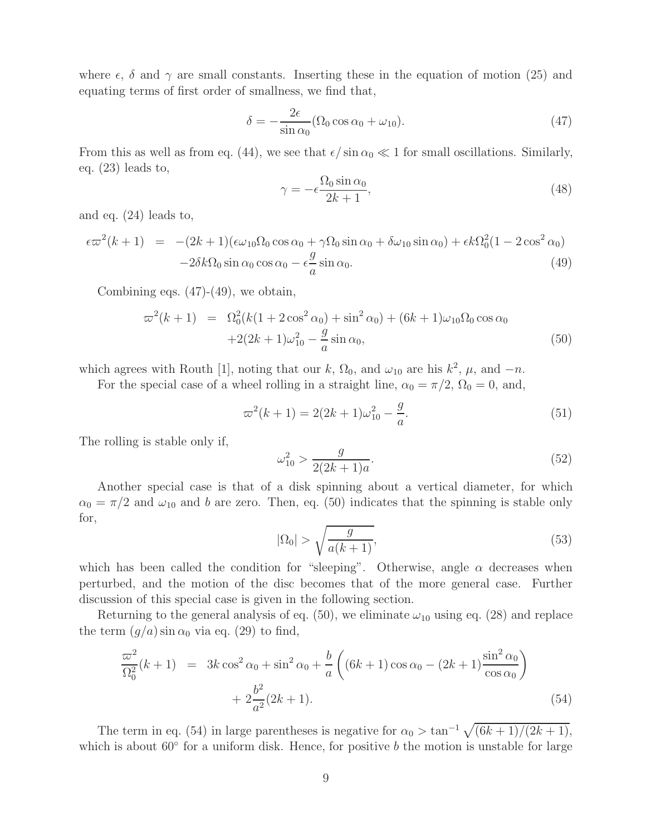where  $\epsilon$ ,  $\delta$  and  $\gamma$  are small constants. Inserting these in the equation of motion (25) and equating terms of first order of smallness, we find that,

$$
\delta = -\frac{2\epsilon}{\sin \alpha_0} (\Omega_0 \cos \alpha_0 + \omega_{10}).
$$
\n(47)

From this as well as from eq. (44), we see that  $\epsilon / \sin \alpha_0 \ll 1$  for small oscillations. Similarly, eq. (23) leads to,

$$
\gamma = -\epsilon \frac{\Omega_0 \sin \alpha_0}{2k + 1},\tag{48}
$$

and eq. (24) leads to,

$$
\epsilon \varpi^2 (k+1) = -(2k+1)(\epsilon \omega_{10} \Omega_0 \cos \alpha_0 + \gamma \Omega_0 \sin \alpha_0 + \delta \omega_{10} \sin \alpha_0) + \epsilon k \Omega_0^2 (1 - 2 \cos^2 \alpha_0)
$$
  

$$
-2\delta k \Omega_0 \sin \alpha_0 \cos \alpha_0 - \epsilon \frac{g}{a} \sin \alpha_0.
$$
 (49)

Combining eqs. (47)-(49), we obtain,

$$
\varpi^{2}(k+1) = \Omega_{0}^{2}(k(1+2\cos^{2}\alpha_{0}) + \sin^{2}\alpha_{0}) + (6k+1)\omega_{10}\Omega_{0}\cos\alpha_{0}
$$
  
+2(2k+1)\omega\_{10}^{2} - \frac{g}{a}\sin\alpha\_{0}, \t(50)

which agrees with Routh [1], noting that our k,  $\Omega_0$ , and  $\omega_{10}$  are his  $k^2$ ,  $\mu$ , and  $-n$ .

For the special case of a wheel rolling in a straight line,  $\alpha_0 = \pi/2$ ,  $\Omega_0 = 0$ , and,

$$
\varpi^2(k+1) = 2(2k+1)\omega_{10}^2 - \frac{g}{a}.\tag{51}
$$

The rolling is stable only if,

$$
\omega_{10}^2 > \frac{g}{2(2k+1)a}.\tag{52}
$$

Another special case is that of a disk spinning about a vertical diameter, for which  $\alpha_0 = \pi/2$  and  $\omega_{10}$  and b are zero. Then, eq. (50) indicates that the spinning is stable only for,

$$
|\Omega_0| > \sqrt{\frac{g}{a(k+1)}},\tag{53}
$$

which has been called the condition for "sleeping". Otherwise, angle  $\alpha$  decreases when perturbed, and the motion of the disc becomes that of the more general case. Further discussion of this special case is given in the following section.

Returning to the general analysis of eq. (50), we eliminate  $\omega_{10}$  using eq. (28) and replace the term  $(g/a)$  sin  $\alpha_0$  via eq. (29) to find,

$$
\frac{\varpi^2}{\Omega_0^2}(k+1) = 3k \cos^2 \alpha_0 + \sin^2 \alpha_0 + \frac{b}{a} \left( (6k+1) \cos \alpha_0 - (2k+1) \frac{\sin^2 \alpha_0}{\cos \alpha_0} \right) \n+ 2 \frac{b^2}{a^2} (2k+1).
$$
\n(54)

The term in eq. (54) in large parentheses is negative for  $\alpha_0 > \tan^{-1} \sqrt{(6k+1)/(2k+1)}$ , which is about  $60°$  for a uniform disk. Hence, for positive b the motion is unstable for large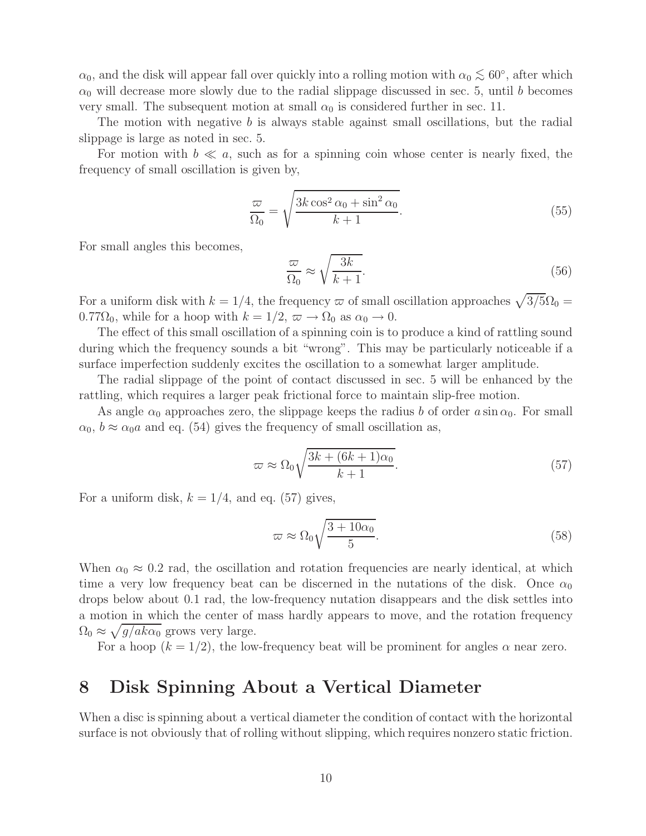$\alpha_0$ , and the disk will appear fall over quickly into a rolling motion with  $\alpha_0 \lesssim 60^\circ$ , after which  $\alpha_0$  will decrease more slowly due to the radial slippage discussed in sec. 5, until b becomes very small. The subsequent motion at small  $\alpha_0$  is considered further in sec. 11.

The motion with negative b is always stable against small oscillations, but the radial slippage is large as noted in sec. 5.

For motion with  $b \ll a$ , such as for a spinning coin whose center is nearly fixed, the frequency of small oscillation is given by,

$$
\frac{\varpi}{\Omega_0} = \sqrt{\frac{3k\cos^2\alpha_0 + \sin^2\alpha_0}{k+1}}.
$$
\n(55)

For small angles this becomes,

$$
\frac{\varpi}{\Omega_0} \approx \sqrt{\frac{3k}{k+1}}.\tag{56}
$$

For a uniform disk with  $k = 1/4$ , the frequency  $\varpi$  of small oscillation approaches  $\sqrt{3/5}\Omega_0 =$ 0.77 $\Omega_0$ , while for a hoop with  $k = 1/2$ ,  $\varpi \to \Omega_0$  as  $\alpha_0 \to 0$ .

The effect of this small oscillation of a spinning coin is to produce a kind of rattling sound during which the frequency sounds a bit "wrong". This may be particularly noticeable if a surface imperfection suddenly excites the oscillation to a somewhat larger amplitude.

The radial slippage of the point of contact discussed in sec. 5 will be enhanced by the rattling, which requires a larger peak frictional force to maintain slip-free motion.

As angle  $\alpha_0$  approaches zero, the slippage keeps the radius b of order  $a \sin \alpha_0$ . For small  $\alpha_0$ ,  $b \approx \alpha_0 a$  and eq. (54) gives the frequency of small oscillation as,

$$
\varpi \approx \Omega_0 \sqrt{\frac{3k + (6k+1)\alpha_0}{k+1}}.
$$
\n(57)

For a uniform disk,  $k = 1/4$ , and eq. (57) gives,

$$
\varpi \approx \Omega_0 \sqrt{\frac{3 + 10\alpha_0}{5}}.\tag{58}
$$

When  $\alpha_0 \approx 0.2$  rad, the oscillation and rotation frequencies are nearly identical, at which time a very low frequency beat can be discerned in the nutations of the disk. Once  $\alpha_0$ drops below about 0.1 rad, the low-frequency nutation disappears and the disk settles into a motion in which the center of mass hardly appears to move, and the rotation frequency  $\Omega_0 \approx \sqrt{g/ak\alpha_0}$  grows very large.

For a hoop  $(k = 1/2)$ , the low-frequency beat will be prominent for angles  $\alpha$  near zero.

## **8 Disk Spinning About a Vertical Diameter**

When a disc is spinning about a vertical diameter the condition of contact with the horizontal surface is not obviously that of rolling without slipping, which requires nonzero static friction.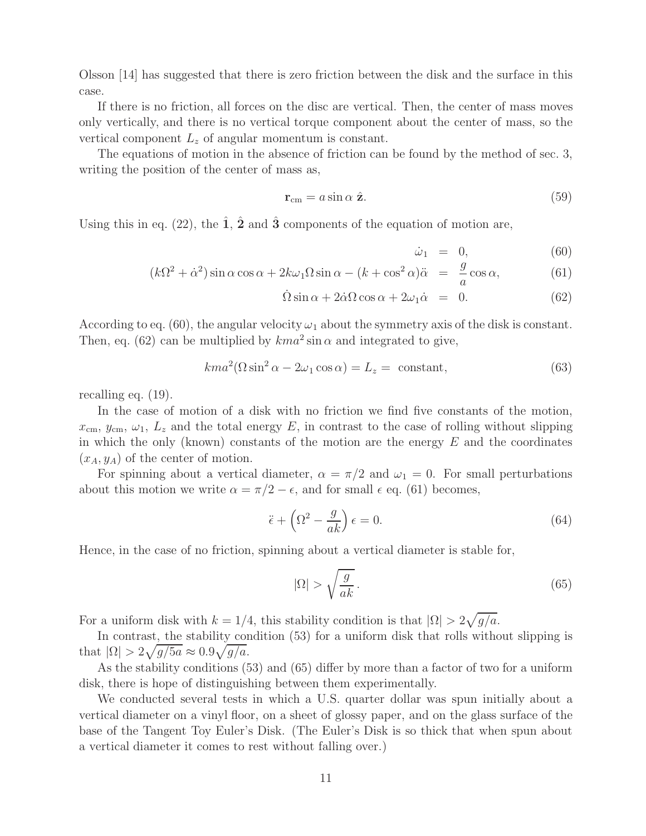Olsson [14] has suggested that there is zero friction between the disk and the surface in this case.

If there is no friction, all forces on the disc are vertical. Then, the center of mass moves only vertically, and there is no vertical torque component about the center of mass, so the vertical component  $L<sub>z</sub>$  of angular momentum is constant.

The equations of motion in the absence of friction can be found by the method of sec. 3, writing the position of the center of mass as,

$$
\mathbf{r}_{\rm cm} = a \sin \alpha \ \hat{\mathbf{z}}.\tag{59}
$$

Using this in eq.  $(22)$ , the  $\hat{1}$ ,  $\hat{2}$  and  $\hat{3}$  components of the equation of motion are,

$$
\dot{\omega}_1 = 0, \tag{60}
$$

$$
(k\Omega^2 + \dot{\alpha}^2)\sin\alpha\cos\alpha + 2k\omega_1\Omega\sin\alpha - (k + \cos^2\alpha)\ddot{\alpha} = \frac{g}{a}\cos\alpha,\tag{61}
$$

$$
\dot{\Omega}\sin\alpha + 2\dot{\alpha}\Omega\cos\alpha + 2\omega_1\dot{\alpha} = 0. \tag{62}
$$

According to eq. (60), the angular velocity  $\omega_1$  about the symmetry axis of the disk is constant. Then, eq. (62) can be multiplied by  $kma^2 \sin \alpha$  and integrated to give,

$$
kma^{2}(\Omega\sin^{2}\alpha - 2\omega_{1}\cos\alpha) = L_{z} = \text{ constant},
$$
\n(63)

recalling eq. (19).

In the case of motion of a disk with no friction we find five constants of the motion,  $x_{\rm cm}, y_{\rm cm}, \omega_1, L_z$  and the total energy E, in contrast to the case of rolling without slipping in which the only (known) constants of the motion are the energy  $E$  and the coordinates  $(x_A, y_A)$  of the center of motion.

For spinning about a vertical diameter,  $\alpha = \pi/2$  and  $\omega_1 = 0$ . For small perturbations about this motion we write  $\alpha = \pi/2 - \epsilon$ , and for small  $\epsilon$  eq. (61) becomes,

$$
\ddot{\epsilon} + \left(\Omega^2 - \frac{g}{ak}\right)\epsilon = 0. \tag{64}
$$

Hence, in the case of no friction, spinning about a vertical diameter is stable for,

$$
|\Omega| > \sqrt{\frac{g}{ak}} \,. \tag{65}
$$

For a uniform disk with  $k = 1/4$ , this stability condition is that  $|\Omega| > 2\sqrt{g/a}$ .

In contrast, the stability condition (53) for a uniform disk that rolls without slipping is that  $|\Omega| > 2\sqrt{g/5a} \approx 0.9\sqrt{g/a}.$ 

As the stability conditions (53) and (65) differ by more than a factor of two for a uniform disk, there is hope of distinguishing between them experimentally.

We conducted several tests in which a U.S. quarter dollar was spun initially about a vertical diameter on a vinyl floor, on a sheet of glossy paper, and on the glass surface of the base of the Tangent Toy Euler's Disk. (The Euler's Disk is so thick that when spun about a vertical diameter it comes to rest without falling over.)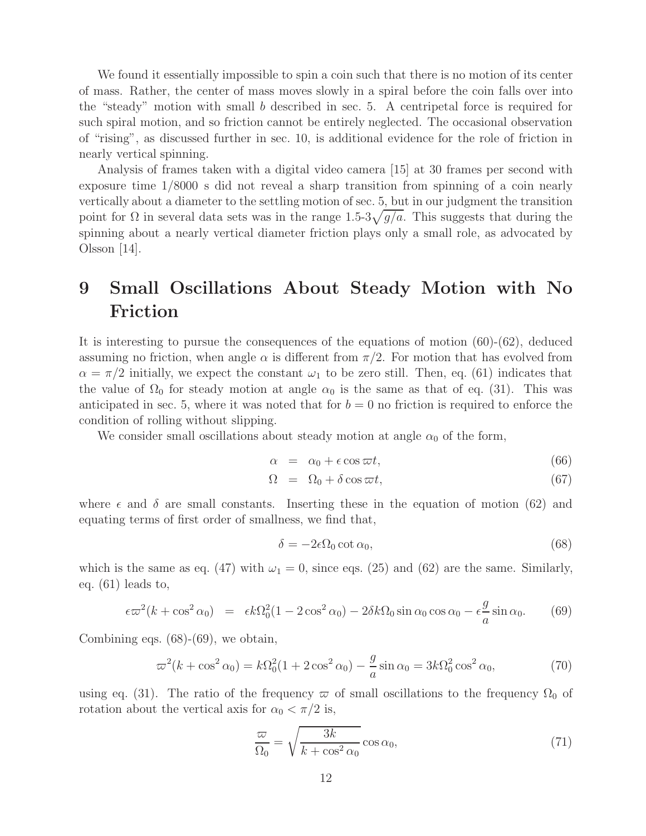We found it essentially impossible to spin a coin such that there is no motion of its center of mass. Rather, the center of mass moves slowly in a spiral before the coin falls over into the "steady" motion with small b described in sec. 5. A centripetal force is required for such spiral motion, and so friction cannot be entirely neglected. The occasional observation of "rising", as discussed further in sec. 10, is additional evidence for the role of friction in nearly vertical spinning.

Analysis of frames taken with a digital video camera [15] at 30 frames per second with exposure time 1/8000 s did not reveal a sharp transition from spinning of a coin nearly vertically about a diameter to the settling motion of sec. 5, but in our judgment the transition point for  $\Omega$  in several data sets was in the range 1.5-3 $\sqrt{g/a}$ . This suggests that during the spinning about a nearly vertical diameter friction plays only a small role, as advocated by Olsson [14].

# **9 Small Oscillations About Steady Motion with No Friction**

It is interesting to pursue the consequences of the equations of motion (60)-(62), deduced assuming no friction, when angle  $\alpha$  is different from  $\pi/2$ . For motion that has evolved from  $\alpha = \pi/2$  initially, we expect the constant  $\omega_1$  to be zero still. Then, eq. (61) indicates that the value of  $\Omega_0$  for steady motion at angle  $\alpha_0$  is the same as that of eq. (31). This was anticipated in sec. 5, where it was noted that for  $b = 0$  no friction is required to enforce the condition of rolling without slipping.

We consider small oscillations about steady motion at angle  $\alpha_0$  of the form,

$$
\alpha = \alpha_0 + \epsilon \cos \varpi t, \tag{66}
$$

$$
\Omega = \Omega_0 + \delta \cos \omega t, \tag{67}
$$

where  $\epsilon$  and  $\delta$  are small constants. Inserting these in the equation of motion (62) and equating terms of first order of smallness, we find that,

$$
\delta = -2\epsilon \Omega_0 \cot \alpha_0,\tag{68}
$$

which is the same as eq. (47) with  $\omega_1 = 0$ , since eqs. (25) and (62) are the same. Similarly, eq. (61) leads to,

$$
\epsilon \varpi^2 (k + \cos^2 \alpha_0) = \epsilon k \Omega_0^2 (1 - 2 \cos^2 \alpha_0) - 2 \delta k \Omega_0 \sin \alpha_0 \cos \alpha_0 - \epsilon \frac{g}{a} \sin \alpha_0. \tag{69}
$$

Combining eqs.  $(68)-(69)$ , we obtain,

$$
\varpi^2(k + \cos^2 \alpha_0) = k\Omega_0^2(1 + 2\cos^2 \alpha_0) - \frac{g}{a}\sin \alpha_0 = 3k\Omega_0^2\cos^2 \alpha_0,\tag{70}
$$

using eq. (31). The ratio of the frequency  $\varpi$  of small oscillations to the frequency  $\Omega_0$  of rotation about the vertical axis for  $\alpha_0 < \pi/2$  is,

$$
\frac{\varpi}{\Omega_0} = \sqrt{\frac{3k}{k + \cos^2 \alpha_0}} \cos \alpha_0, \tag{71}
$$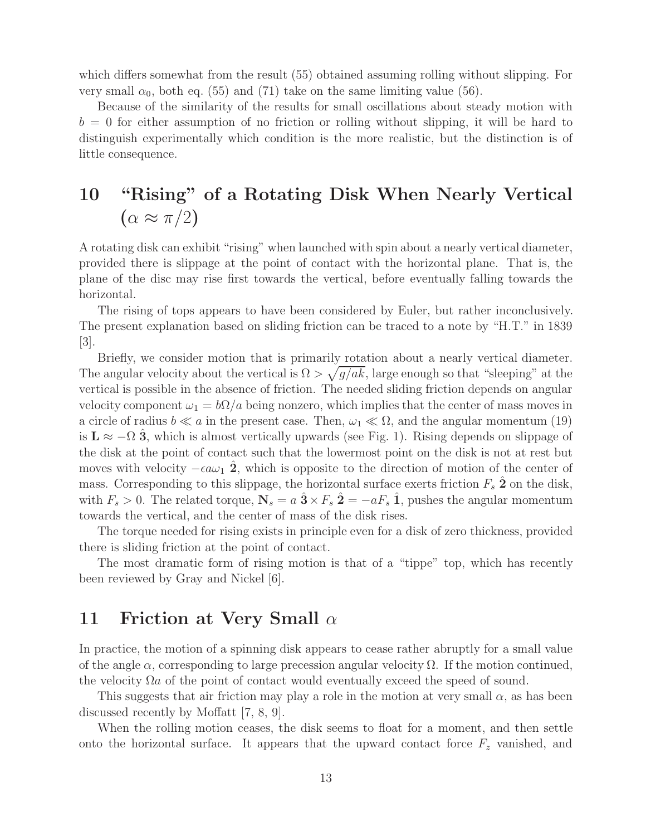which differs somewhat from the result (55) obtained assuming rolling without slipping. For very small  $\alpha_0$ , both eq. (55) and (71) take on the same limiting value (56).

Because of the similarity of the results for small oscillations about steady motion with  $b = 0$  for either assumption of no friction or rolling without slipping, it will be hard to distinguish experimentally which condition is the more realistic, but the distinction is of little consequence.

# **10 "Rising" of a Rotating Disk When Nearly Vertical**  $(\alpha \approx \pi/2)$

A rotating disk can exhibit "rising" when launched with spin about a nearly vertical diameter, provided there is slippage at the point of contact with the horizontal plane. That is, the plane of the disc may rise first towards the vertical, before eventually falling towards the horizontal.

The rising of tops appears to have been considered by Euler, but rather inconclusively. The present explanation based on sliding friction can be traced to a note by "H.T." in 1839 [3].

Briefly, we consider motion that is primarily rotation about a nearly vertical diameter. The angular velocity about the vertical is  $\Omega > \sqrt{g}/ak$ , large enough so that "sleeping" at the vertical is possible in the absence of friction. The needed sliding friction depends on angular velocity component  $\omega_1 = b\Omega/a$  being nonzero, which implies that the center of mass moves in a circle of radius  $b \ll a$  in the present case. Then,  $\omega_1 \ll \Omega$ , and the angular momentum (19) is  $\mathbf{L} \approx -\Omega$  **3**, which is almost vertically upwards (see Fig. 1). Rising depends on slippage of the disk at the point of contact such that the lowermost point on the disk is not at rest but moves with velocity  $-\epsilon a\omega_1$  **2**<sup>*n*</sup>, which is opposite to the direction of motion of the center of mass. Corresponding to this slippage, the horizontal surface exerts friction  $F_s$   $\hat{2}$  on the disk, with  $F_s > 0$ . The related torque,  $\mathbf{N}_s = a \hat{\mathbf{3}} \times F_s \hat{\mathbf{2}} = -a F_s \hat{\mathbf{1}}$ , pushes the angular momentum towards the vertical, and the center of mass of the disk rises.

The torque needed for rising exists in principle even for a disk of zero thickness, provided there is sliding friction at the point of contact.

The most dramatic form of rising motion is that of a "tippe" top, which has recently been reviewed by Gray and Nickel [6].

### **11 Friction at Very Small** α

In practice, the motion of a spinning disk appears to cease rather abruptly for a small value of the angle  $\alpha$ , corresponding to large precession angular velocity  $\Omega$ . If the motion continued, the velocity  $\Omega a$  of the point of contact would eventually exceed the speed of sound.

This suggests that air friction may play a role in the motion at very small  $\alpha$ , as has been discussed recently by Moffatt [7, 8, 9].

When the rolling motion ceases, the disk seems to float for a moment, and then settle onto the horizontal surface. It appears that the upward contact force  $F<sub>z</sub>$  vanished, and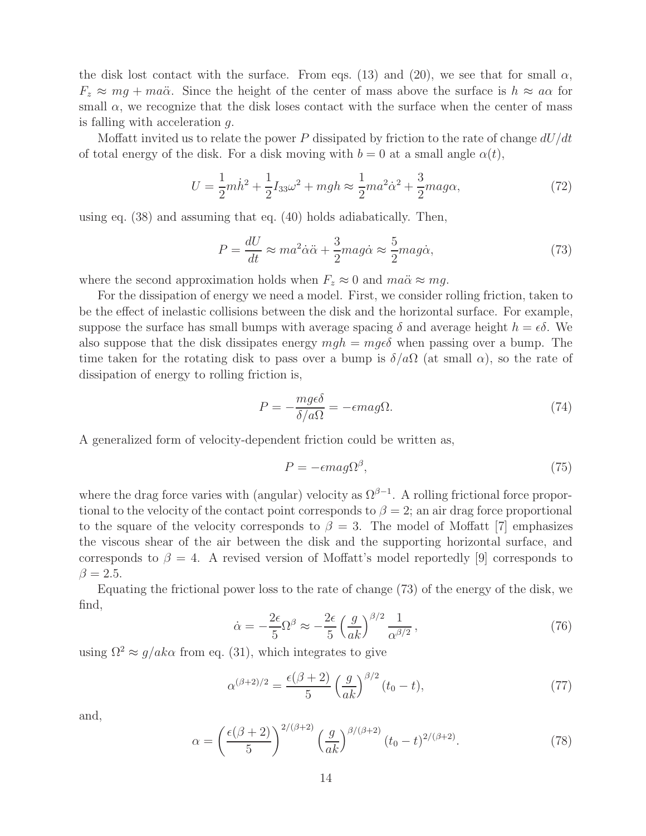the disk lost contact with the surface. From eqs. (13) and (20), we see that for small  $\alpha$ ,  $F_z \approx mg + ma\ddot{\alpha}$ . Since the height of the center of mass above the surface is  $h \approx a\alpha$  for small  $\alpha$ , we recognize that the disk loses contact with the surface when the center of mass is falling with acceleration g.

Moffatt invited us to relate the power P dissipated by friction to the rate of change  $dU/dt$ of total energy of the disk. For a disk moving with  $b = 0$  at a small angle  $\alpha(t)$ ,

$$
U = \frac{1}{2}m\dot{h}^2 + \frac{1}{2}I_{33}\omega^2 + mgh \approx \frac{1}{2}ma^2\dot{\alpha}^2 + \frac{3}{2}mag\alpha,
$$
 (72)

using eq. (38) and assuming that eq. (40) holds adiabatically. Then,

$$
P = \frac{dU}{dt} \approx ma^2 \dot{\alpha}\ddot{\alpha} + \frac{3}{2} mag \dot{\alpha} \approx \frac{5}{2} mag \dot{\alpha},\tag{73}
$$

where the second approximation holds when  $F_z \approx 0$  and  $ma\ddot{\alpha} \approx mg$ .

For the dissipation of energy we need a model. First, we consider rolling friction, taken to be the effect of inelastic collisions between the disk and the horizontal surface. For example, suppose the surface has small bumps with average spacing  $\delta$  and average height  $h = \epsilon \delta$ . We also suppose that the disk dissipates energy  $mgh = mq\epsilon\delta$  when passing over a bump. The time taken for the rotating disk to pass over a bump is  $\delta/a\Omega$  (at small  $\alpha$ ), so the rate of dissipation of energy to rolling friction is,

$$
P = -\frac{mg\epsilon\delta}{\delta/a\Omega} = -\epsilon mag\Omega.
$$
\n(74)

A generalized form of velocity-dependent friction could be written as,

$$
P = -\epsilon m a g \Omega^{\beta},\tag{75}
$$

where the drag force varies with (angular) velocity as  $\Omega^{\beta-1}$ . A rolling frictional force proportional to the velocity of the contact point corresponds to  $\beta = 2$ ; an air drag force proportional to the square of the velocity corresponds to  $\beta = 3$ . The model of Moffatt [7] emphasizes the viscous shear of the air between the disk and the supporting horizontal surface, and corresponds to  $\beta = 4$ . A revised version of Moffatt's model reportedly [9] corresponds to  $\beta = 2.5.$ 

Equating the frictional power loss to the rate of change (73) of the energy of the disk, we find,

$$
\dot{\alpha} = -\frac{2\epsilon}{5} \Omega^{\beta} \approx -\frac{2\epsilon}{5} \left(\frac{g}{ak}\right)^{\beta/2} \frac{1}{\alpha^{\beta/2}},\tag{76}
$$

using  $\Omega^2 \approx g/ak\alpha$  from eq. (31), which integrates to give

$$
\alpha^{(\beta+2)/2} = \frac{\epsilon(\beta+2)}{5} \left(\frac{g}{ak}\right)^{\beta/2} (t_0 - t),\tag{77}
$$

and,

$$
\alpha = \left(\frac{\epsilon(\beta+2)}{5}\right)^{2/(\beta+2)} \left(\frac{g}{ak}\right)^{\beta/(\beta+2)} (t_0 - t)^{2/(\beta+2)}.
$$
 (78)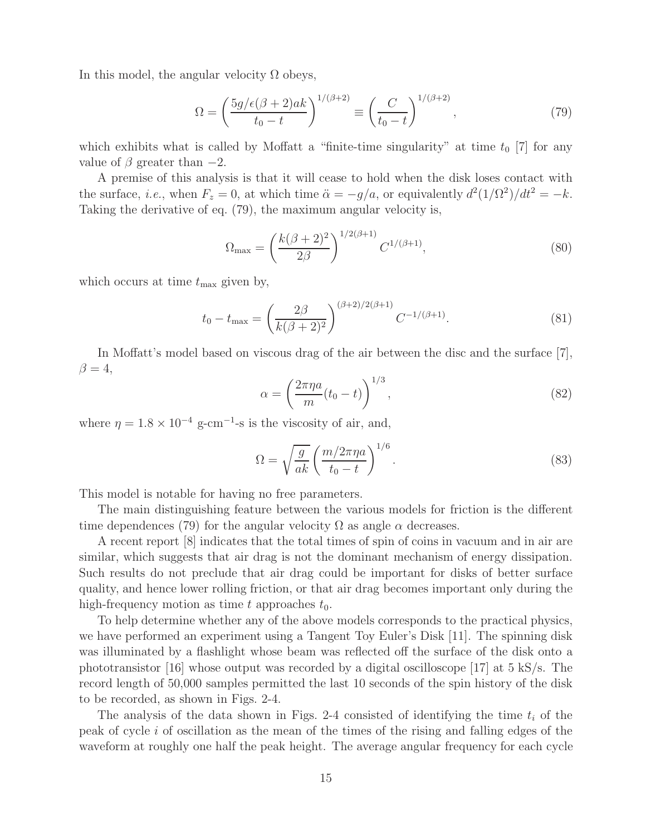In this model, the angular velocity  $\Omega$  obeys,

$$
\Omega = \left(\frac{5g/\epsilon(\beta+2)ak}{t_0-t}\right)^{1/(\beta+2)} \equiv \left(\frac{C}{t_0-t}\right)^{1/(\beta+2)},\tag{79}
$$

which exhibits what is called by Moffatt a "finite-time singularity" at time  $t_0$  [7] for any value of  $\beta$  greater than  $-2$ .

A premise of this analysis is that it will cease to hold when the disk loses contact with the surface, *i.e.*, when  $F_z = 0$ , at which time  $\ddot{\alpha} = -g/a$ , or equivalently  $d^2(1/\Omega^2)/dt^2 = -k$ . Taking the derivative of eq. (79), the maximum angular velocity is,

$$
\Omega_{\text{max}} = \left(\frac{k(\beta+2)^2}{2\beta}\right)^{1/2(\beta+1)} C^{1/(\beta+1)},\tag{80}
$$

which occurs at time  $t_{\text{max}}$  given by,

$$
t_0 - t_{\max} = \left(\frac{2\beta}{k(\beta + 2)^2}\right)^{(\beta + 2)/2(\beta + 1)} C^{-1/(\beta + 1)}.
$$
\n(81)

In Moffatt's model based on viscous drag of the air between the disc and the surface [7],  $\beta = 4$ ,

$$
\alpha = \left(\frac{2\pi\eta a}{m}(t_0 - t)\right)^{1/3},\tag{82}
$$

where  $\eta = 1.8 \times 10^{-4}$  g-cm<sup>-1</sup>-s is the viscosity of air, and,

$$
\Omega = \sqrt{\frac{g}{ak}} \left( \frac{m/2\pi\eta a}{t_0 - t} \right)^{1/6}.
$$
\n(83)

This model is notable for having no free parameters.

The main distinguishing feature between the various models for friction is the different time dependences (79) for the angular velocity  $\Omega$  as angle  $\alpha$  decreases.

A recent report [8] indicates that the total times of spin of coins in vacuum and in air are similar, which suggests that air drag is not the dominant mechanism of energy dissipation. Such results do not preclude that air drag could be important for disks of better surface quality, and hence lower rolling friction, or that air drag becomes important only during the high-frequency motion as time t approaches  $t_0$ .

To help determine whether any of the above models corresponds to the practical physics, we have performed an experiment using a Tangent Toy Euler's Disk [11]. The spinning disk was illuminated by a flashlight whose beam was reflected off the surface of the disk onto a phototransistor [16] whose output was recorded by a digital oscilloscope [17] at 5 kS/s. The record length of 50,000 samples permitted the last 10 seconds of the spin history of the disk to be recorded, as shown in Figs. 2-4.

The analysis of the data shown in Figs. 2-4 consisted of identifying the time  $t_i$  of the peak of cycle i of oscillation as the mean of the times of the rising and falling edges of the waveform at roughly one half the peak height. The average angular frequency for each cycle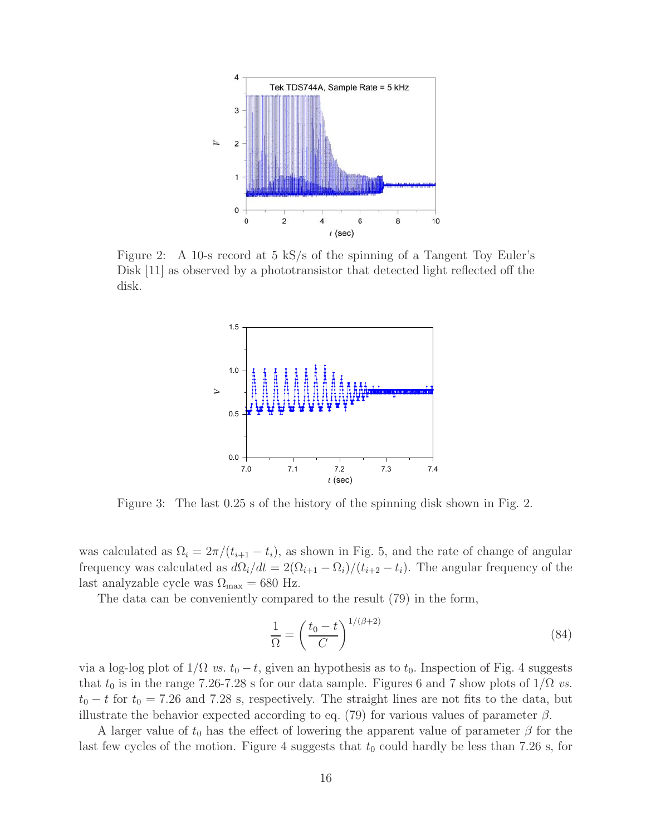

Figure 2: A 10-s record at 5 kS/s of the spinning of a Tangent Toy Euler's Disk [11] as observed by a phototransistor that detected light reflected off the disk.



Figure 3: The last 0.25 s of the history of the spinning disk shown in Fig. 2.

was calculated as  $\Omega_i = 2\pi/(t_{i+1} - t_i)$ , as shown in Fig. 5, and the rate of change of angular frequency was calculated as  $d\Omega_i/dt = 2(\Omega_{i+1} - \Omega_i)/(t_{i+2} - t_i)$ . The angular frequency of the last analyzable cycle was  $\Omega_{\text{max}} = 680 \text{ Hz}.$ 

The data can be conveniently compared to the result (79) in the form,

$$
\frac{1}{\Omega} = \left(\frac{t_0 - t}{C}\right)^{1/(\beta + 2)}\tag{84}
$$

via a log-log plot of  $1/\Omega$  *vs.*  $t_0 - t$ , given an hypothesis as to  $t_0$ . Inspection of Fig. 4 suggests that  $t_0$  is in the range 7.26-7.28 s for our data sample. Figures 6 and 7 show plots of  $1/\Omega$  *vs.*  $t_0 - t$  for  $t_0 = 7.26$  and 7.28 s, respectively. The straight lines are not fits to the data, but illustrate the behavior expected according to eq. (79) for various values of parameter  $\beta$ .

A larger value of  $t_0$  has the effect of lowering the apparent value of parameter  $\beta$  for the last few cycles of the motion. Figure 4 suggests that  $t_0$  could hardly be less than 7.26 s, for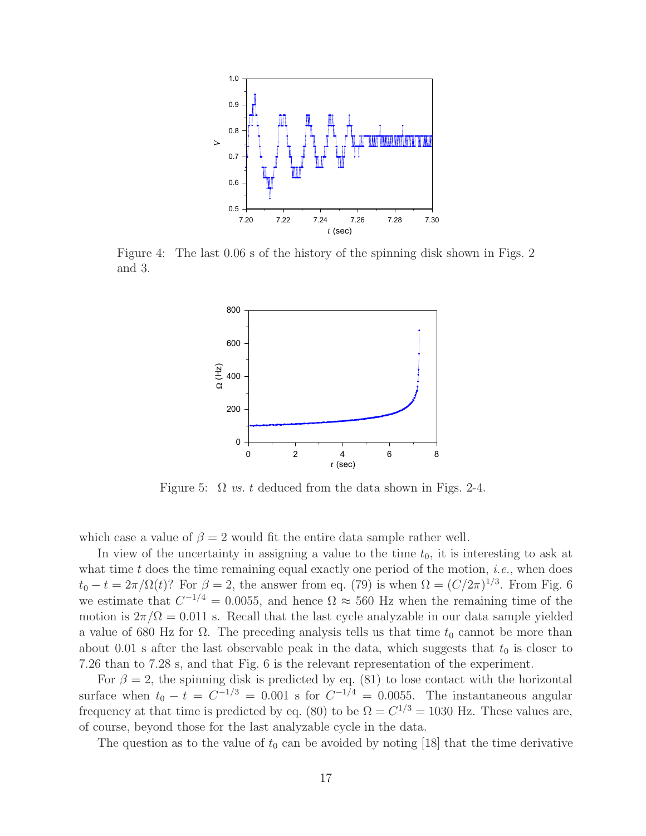

Figure 4: The last 0.06 s of the history of the spinning disk shown in Figs. 2 and 3.



Figure 5:  $\Omega$  *vs.* t deduced from the data shown in Figs. 2-4.

which case a value of  $\beta = 2$  would fit the entire data sample rather well.

In view of the uncertainty in assigning a value to the time  $t_0$ , it is interesting to ask at what time  $t$  does the time remaining equal exactly one period of the motion, *i.e.*, when does  $t_0 - t = 2\pi/\Omega(t)$ ? For  $\beta = 2$ , the answer from eq. (79) is when  $\Omega = (C/2\pi)^{1/3}$ . From Fig. 6 we estimate that  $C^{-1/4} = 0.0055$ , and hence  $\Omega \approx 560$  Hz when the remaining time of the motion is  $2\pi/\Omega = 0.011$  s. Recall that the last cycle analyzable in our data sample yielded a value of 680 Hz for  $\Omega$ . The preceding analysis tells us that time  $t_0$  cannot be more than about 0.01 s after the last observable peak in the data, which suggests that  $t_0$  is closer to 7.26 than to 7.28 s, and that Fig. 6 is the relevant representation of the experiment.

For  $\beta = 2$ , the spinning disk is predicted by eq. (81) to lose contact with the horizontal surface when  $t_0 - t = C^{-1/3} = 0.001$  s for  $C^{-1/4} = 0.0055$ . The instantaneous angular frequency at that time is predicted by eq. (80) to be  $\Omega = C^{1/3} = 1030$  Hz. These values are, of course, beyond those for the last analyzable cycle in the data.

The question as to the value of  $t_0$  can be avoided by noting [18] that the time derivative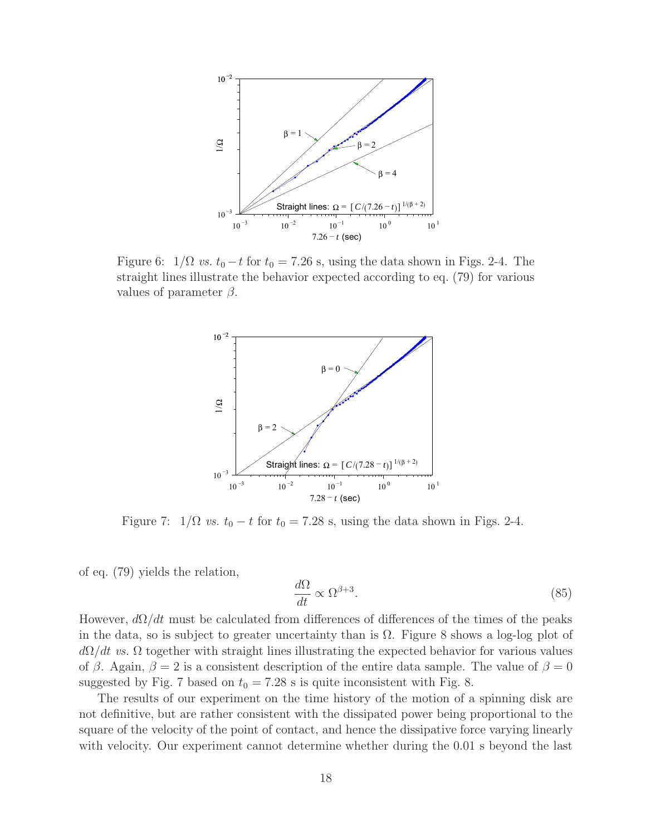

Figure 6:  $1/\Omega$  *vs.*  $t_0 - t$  for  $t_0 = 7.26$  s, using the data shown in Figs. 2-4. The straight lines illustrate the behavior expected according to eq. (79) for various values of parameter  $\beta$ .



Figure 7:  $1/\Omega$  *vs.*  $t_0 - t$  for  $t_0 = 7.28$  s, using the data shown in Figs. 2-4.

of eq. (79) yields the relation,

$$
\frac{d\Omega}{dt} \propto \Omega^{\beta+3}.\tag{85}
$$

However,  $d\Omega/dt$  must be calculated from differences of differences of the times of the peaks in the data, so is subject to greater uncertainty than is  $\Omega$ . Figure 8 shows a log-log plot of  $d\Omega/dt$  *vs.*  $\Omega$  together with straight lines illustrating the expected behavior for various values of β. Again,  $\beta = 2$  is a consistent description of the entire data sample. The value of  $\beta = 0$ suggested by Fig. 7 based on  $t_0 = 7.28$  s is quite inconsistent with Fig. 8.

The results of our experiment on the time history of the motion of a spinning disk are not definitive, but are rather consistent with the dissipated power being proportional to the square of the velocity of the point of contact, and hence the dissipative force varying linearly with velocity. Our experiment cannot determine whether during the 0.01 s beyond the last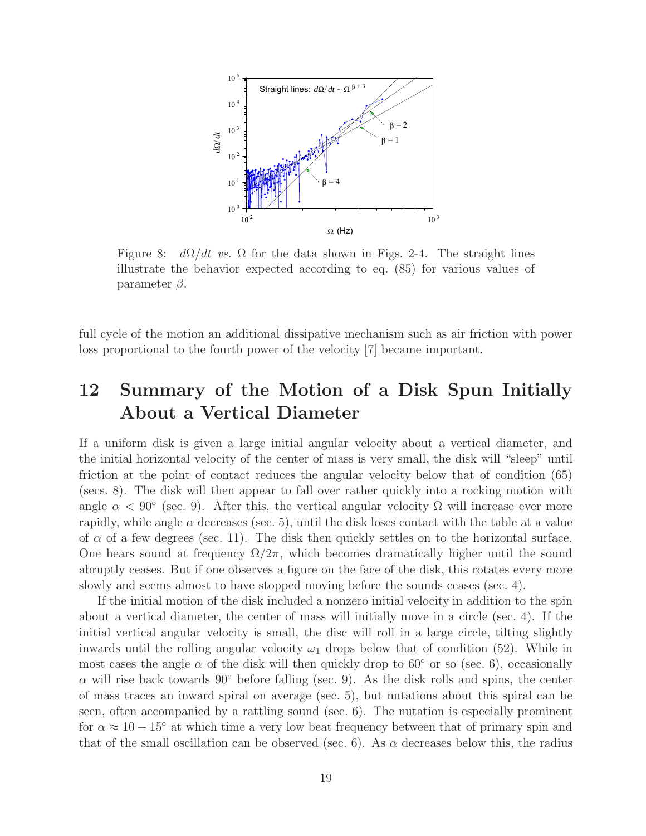

Figure 8:  $d\Omega/dt$  *vs.*  $\Omega$  for the data shown in Figs. 2-4. The straight lines illustrate the behavior expected according to eq. (85) for various values of parameter  $\beta$ .

full cycle of the motion an additional dissipative mechanism such as air friction with power loss proportional to the fourth power of the velocity [7] became important.

# **12 Summary of the Motion of a Disk Spun Initially About a Vertical Diameter**

If a uniform disk is given a large initial angular velocity about a vertical diameter, and the initial horizontal velocity of the center of mass is very small, the disk will "sleep" until friction at the point of contact reduces the angular velocity below that of condition (65) (secs. 8). The disk will then appear to fall over rather quickly into a rocking motion with angle  $\alpha < 90^{\circ}$  (sec. 9). After this, the vertical angular velocity  $\Omega$  will increase ever more rapidly, while angle  $\alpha$  decreases (sec. 5), until the disk loses contact with the table at a value of  $\alpha$  of a few degrees (sec. 11). The disk then quickly settles on to the horizontal surface. One hears sound at frequency  $\Omega/2\pi$ , which becomes dramatically higher until the sound abruptly ceases. But if one observes a figure on the face of the disk, this rotates every more slowly and seems almost to have stopped moving before the sounds ceases (sec. 4).

If the initial motion of the disk included a nonzero initial velocity in addition to the spin about a vertical diameter, the center of mass will initially move in a circle (sec. 4). If the initial vertical angular velocity is small, the disc will roll in a large circle, tilting slightly inwards until the rolling angular velocity  $\omega_1$  drops below that of condition (52). While in most cases the angle  $\alpha$  of the disk will then quickly drop to 60 $\degree$  or so (sec. 6), occasionally  $\alpha$  will rise back towards 90° before falling (sec. 9). As the disk rolls and spins, the center of mass traces an inward spiral on average (sec. 5), but nutations about this spiral can be seen, often accompanied by a rattling sound (sec. 6). The nutation is especially prominent for  $\alpha \approx 10-15^{\circ}$  at which time a very low beat frequency between that of primary spin and that of the small oscillation can be observed (sec. 6). As  $\alpha$  decreases below this, the radius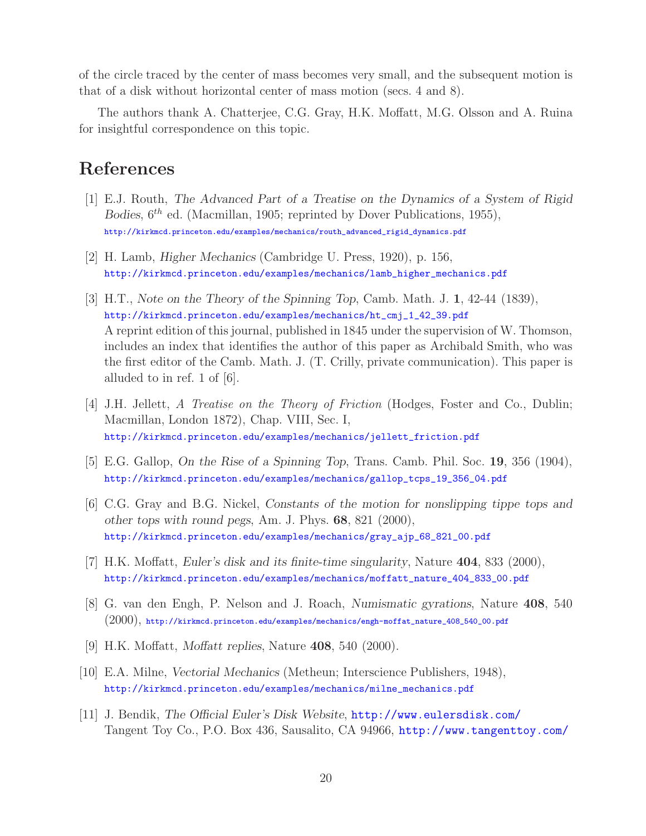of the circle traced by the center of mass becomes very small, and the subsequent motion is that of a disk without horizontal center of mass motion (secs. 4 and 8).

The authors thank A. Chatterjee, C.G. Gray, H.K. Moffatt, M.G. Olsson and A. Ruina for insightful correspondence on this topic.

## **References**

- [1] E.J. Routh, *The Advanced Part of a Treatise on the Dynamics of a System of Rigid Bodies*,  $6^{th}$  ed. (Macmillan, 1905; reprinted by Dover Publications, 1955), http://kirkmcd.princeton.edu/examples/mechanics/routh\_advanced\_rigid\_dynamics.pdf
- [2] H. Lamb, *Higher Mechanics* (Cambridge U. Press, 1920), p. 156, http://kirkmcd.princeton.edu/examples/mechanics/lamb\_higher\_mechanics.pdf
- [3] H.T., *Note on the Theory of the Spinning Top*, Camb. Math. J. **1**, 42-44 (1839), http://kirkmcd.princeton.edu/examples/mechanics/ht\_cmj\_1\_42\_39.pdf A reprint edition of this journal, published in 1845 under the supervision of W. Thomson, includes an index that identifies the author of this paper as Archibald Smith, who was the first editor of the Camb. Math. J. (T. Crilly, private communication). This paper is alluded to in ref. 1 of [6].
- [4] J.H. Jellett, *A Treatise on the Theory of Friction* (Hodges, Foster and Co., Dublin; Macmillan, London 1872), Chap. VIII, Sec. I, http://kirkmcd.princeton.edu/examples/mechanics/jellett\_friction.pdf
- [5] E.G. Gallop, *On the Rise of a Spinning Top*, Trans. Camb. Phil. Soc. **19**, 356 (1904), http://kirkmcd.princeton.edu/examples/mechanics/gallop\_tcps\_19\_356\_04.pdf
- [6] C.G. Gray and B.G. Nickel, *Constants of the motion for nonslipping tippe tops and other tops with round pegs*, Am. J. Phys. **68**, 821 (2000), http://kirkmcd.princeton.edu/examples/mechanics/gray\_ajp\_68\_821\_00.pdf
- [7] H.K. Moffatt, *Euler's disk and its finite-time singularity*, Nature **404**, 833 (2000), http://kirkmcd.princeton.edu/examples/mechanics/moffatt\_nature\_404\_833\_00.pdf
- [8] G. van den Engh, P. Nelson and J. Roach, *Numismatic gyrations*, Nature **408**, 540 (2000), http://kirkmcd.princeton.edu/examples/mechanics/engh-moffat\_nature\_408\_540\_00.pdf
- [9] H.K. Moffatt, *Moffatt replies*, Nature **408**, 540 (2000).
- [10] E.A. Milne, *Vectorial Mechanics* (Metheun; Interscience Publishers, 1948), http://kirkmcd.princeton.edu/examples/mechanics/milne\_mechanics.pdf
- [11] J. Bendik, *The Official Euler's Disk Website*, http://www.eulersdisk.com/ Tangent Toy Co., P.O. Box 436, Sausalito, CA 94966, http://www.tangenttoy.com/